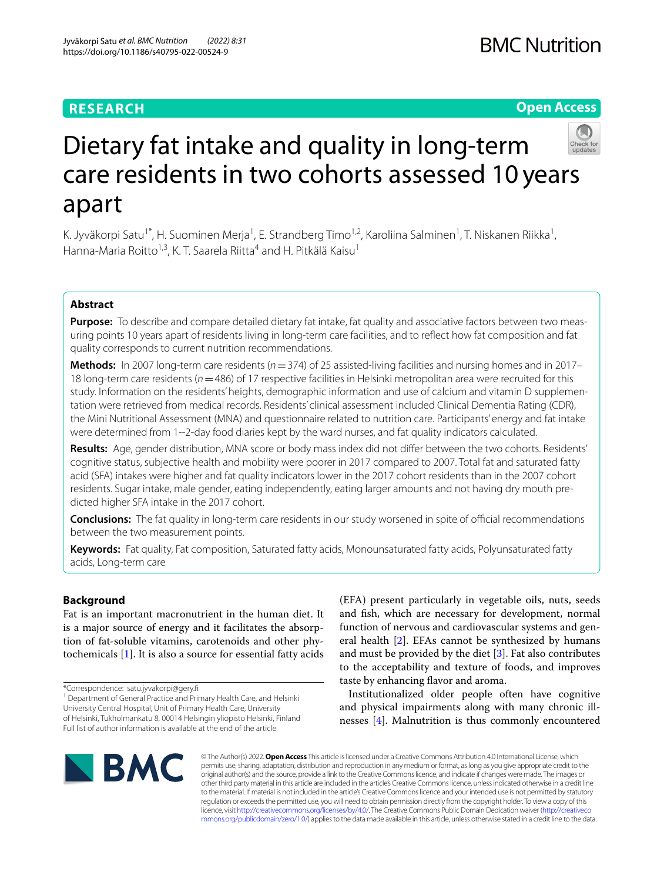# **RESEARCH**

# **Open Access**



# Dietary fat intake and quality in long-term care residents in two cohorts assessed 10years apart

K. Jyväkorpi Satu<sup>1\*</sup>, H. Suominen Merja<sup>1</sup>, E. Strandberg Timo<sup>1,2</sup>, Karoliina Salminen<sup>1</sup>, T. Niskanen Riikka<sup>1</sup>, Hanna-Maria Roitto<sup>1,3</sup>, K. T. Saarela Riitta<sup>4</sup> and H. Pitkälä Kaisu<sup>1</sup>

# **Abstract**

Purpose: To describe and compare detailed dietary fat intake, fat quality and associative factors between two measuring points 10 years apart of residents living in long-term care facilities, and to refect how fat composition and fat quality corresponds to current nutrition recommendations.

**Methods:** In 2007 long-term care residents (*n*=374) of 25 assisted-living facilities and nursing homes and in 2017– 18 long-term care residents (*n*=486) of 17 respective facilities in Helsinki metropolitan area were recruited for this study. Information on the residents' heights, demographic information and use of calcium and vitamin D supplementation were retrieved from medical records. Residents' clinical assessment included Clinical Dementia Rating (CDR), the Mini Nutritional Assessment (MNA) and questionnaire related to nutrition care. Participants' energy and fat intake were determined from 1--2-day food diaries kept by the ward nurses, and fat quality indicators calculated.

**Results:** Age, gender distribution, MNA score or body mass index did not difer between the two cohorts. Residents' cognitive status, subjective health and mobility were poorer in 2017 compared to 2007. Total fat and saturated fatty acid (SFA) intakes were higher and fat quality indicators lower in the 2017 cohort residents than in the 2007 cohort residents. Sugar intake, male gender, eating independently, eating larger amounts and not having dry mouth predicted higher SFA intake in the 2017 cohort.

**Conclusions:** The fat quality in long-term care residents in our study worsened in spite of official recommendations between the two measurement points.

**Keywords:** Fat quality, Fat composition, Saturated fatty acids, Monounsaturated fatty acids, Polyunsaturated fatty acids, Long-term care

## **Background**

Fat is an important macronutrient in the human diet. It is a major source of energy and it facilitates the absorption of fat-soluble vitamins, carotenoids and other phytochemicals [\[1](#page-8-0)]. It is also a source for essential fatty acids

\*Correspondence: satu.jyvakorpi@gery.f

<sup>1</sup> Department of General Practice and Primary Health Care, and Helsinki University Central Hospital, Unit of Primary Health Care, University of Helsinki, Tukholmankatu 8, 00014 Helsingin yliopisto Helsinki, Finland Full list of author information is available at the end of the article

(EFA) present particularly in vegetable oils, nuts, seeds and fsh, which are necessary for development, normal function of nervous and cardiovascular systems and general health [\[2](#page-8-1)]. EFAs cannot be synthesized by humans and must be provided by the diet  $[3]$  $[3]$ . Fat also contributes to the acceptability and texture of foods, and improves taste by enhancing flavor and aroma.

Institutionalized older people often have cognitive and physical impairments along with many chronic illnesses [[4\]](#page-8-3). Malnutrition is thus commonly encountered



© The Author(s) 2022. **Open Access** This article is licensed under a Creative Commons Attribution 4.0 International License, which permits use, sharing, adaptation, distribution and reproduction in any medium or format, as long as you give appropriate credit to the original author(s) and the source, provide a link to the Creative Commons licence, and indicate if changes were made. The images or other third party material in this article are included in the article's Creative Commons licence, unless indicated otherwise in a credit line to the material. If material is not included in the article's Creative Commons licence and your intended use is not permitted by statutory regulation or exceeds the permitted use, you will need to obtain permission directly from the copyright holder. To view a copy of this licence, visit [http://creativecommons.org/licenses/by/4.0/.](http://creativecommons.org/licenses/by/4.0/) The Creative Commons Public Domain Dedication waiver ([http://creativeco](http://creativecommons.org/publicdomain/zero/1.0/) [mmons.org/publicdomain/zero/1.0/](http://creativecommons.org/publicdomain/zero/1.0/)) applies to the data made available in this article, unless otherwise stated in a credit line to the data.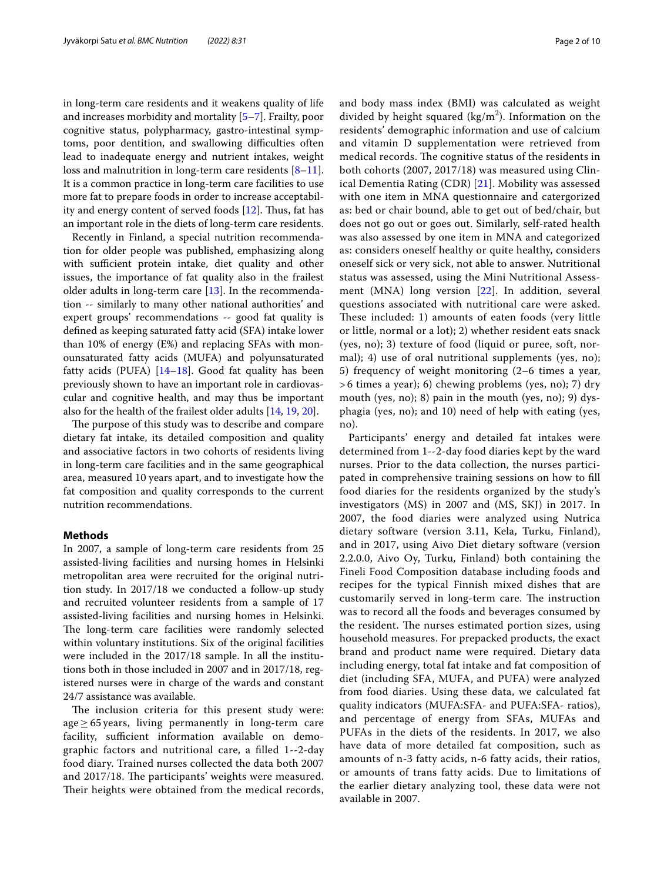in long-term care residents and it weakens quality of life and increases morbidity and mortality [\[5](#page-8-4)[–7](#page-8-5)]. Frailty, poor cognitive status, polypharmacy, gastro-intestinal symptoms, poor dentition, and swallowing difficulties often lead to inadequate energy and nutrient intakes, weight loss and malnutrition in long-term care residents [\[8](#page-8-6)[–11](#page-8-7)]. It is a common practice in long-term care facilities to use more fat to prepare foods in order to increase acceptability and energy content of served foods  $[12]$  $[12]$ . Thus, fat has an important role in the diets of long-term care residents.

Recently in Finland, a special nutrition recommendation for older people was published, emphasizing along with sufficient protein intake, diet quality and other issues, the importance of fat quality also in the frailest older adults in long-term care  $[13]$ . In the recommendation -- similarly to many other national authorities' and expert groups' recommendations -- good fat quality is defned as keeping saturated fatty acid (SFA) intake lower than 10% of energy (E%) and replacing SFAs with monounsaturated fatty acids (MUFA) and polyunsaturated fatty acids (PUFA)  $[14–18]$  $[14–18]$  $[14–18]$  $[14–18]$ . Good fat quality has been previously shown to have an important role in cardiovascular and cognitive health, and may thus be important also for the health of the frailest older adults [\[14](#page-8-10), [19](#page-8-12), [20\]](#page-8-13).

The purpose of this study was to describe and compare dietary fat intake, its detailed composition and quality and associative factors in two cohorts of residents living in long-term care facilities and in the same geographical area, measured 10 years apart, and to investigate how the fat composition and quality corresponds to the current nutrition recommendations.

## **Methods**

In 2007, a sample of long-term care residents from 25 assisted-living facilities and nursing homes in Helsinki metropolitan area were recruited for the original nutrition study. In 2017/18 we conducted a follow-up study and recruited volunteer residents from a sample of 17 assisted-living facilities and nursing homes in Helsinki. The long-term care facilities were randomly selected within voluntary institutions. Six of the original facilities were included in the 2017/18 sample. In all the institutions both in those included in 2007 and in 2017/18, registered nurses were in charge of the wards and constant 24/7 assistance was available.

The inclusion criteria for this present study were:  $age \ge 65$  years, living permanently in long-term care facility, sufficient information available on demographic factors and nutritional care, a flled 1--2-day food diary. Trained nurses collected the data both 2007 and 2017/18. The participants' weights were measured. Their heights were obtained from the medical records, and body mass index (BMI) was calculated as weight divided by height squared  $(kg/m<sup>2</sup>)$ . Information on the residents' demographic information and use of calcium and vitamin D supplementation were retrieved from medical records. The cognitive status of the residents in both cohorts (2007, 2017/18) was measured using Clinical Dementia Rating (CDR) [\[21\]](#page-8-14). Mobility was assessed with one item in MNA questionnaire and catergorized as: bed or chair bound, able to get out of bed/chair, but does not go out or goes out. Similarly, self-rated health was also assessed by one item in MNA and categorized as: considers oneself healthy or quite healthy, considers oneself sick or very sick, not able to answer. Nutritional status was assessed, using the Mini Nutritional Assessment (MNA) long version [[22](#page-8-15)]. In addition, several questions associated with nutritional care were asked. These included: 1) amounts of eaten foods (very little or little, normal or a lot); 2) whether resident eats snack (yes, no); 3) texture of food (liquid or puree, soft, normal); 4) use of oral nutritional supplements (yes, no); 5) frequency of weight monitoring (2–6 times a year, > 6 times a year); 6) chewing problems (yes, no); 7) dry mouth (yes, no); 8) pain in the mouth (yes, no); 9) dysphagia (yes, no); and 10) need of help with eating (yes, no).

Participants' energy and detailed fat intakes were determined from 1--2-day food diaries kept by the ward nurses. Prior to the data collection, the nurses participated in comprehensive training sessions on how to fll food diaries for the residents organized by the study's investigators (MS) in 2007 and (MS, SKJ) in 2017. In 2007, the food diaries were analyzed using Nutrica dietary software (version 3.11, Kela, Turku, Finland), and in 2017, using Aivo Diet dietary software (version 2.2.0.0, Aivo Oy, Turku, Finland) both containing the Fineli Food Composition database including foods and recipes for the typical Finnish mixed dishes that are customarily served in long-term care. The instruction was to record all the foods and beverages consumed by the resident. The nurses estimated portion sizes, using household measures. For prepacked products, the exact brand and product name were required. Dietary data including energy, total fat intake and fat composition of diet (including SFA, MUFA, and PUFA) were analyzed from food diaries. Using these data, we calculated fat quality indicators (MUFA:SFA- and PUFA:SFA- ratios), and percentage of energy from SFAs, MUFAs and PUFAs in the diets of the residents. In 2017, we also have data of more detailed fat composition, such as amounts of n-3 fatty acids, n-6 fatty acids, their ratios, or amounts of trans fatty acids. Due to limitations of the earlier dietary analyzing tool, these data were not available in 2007.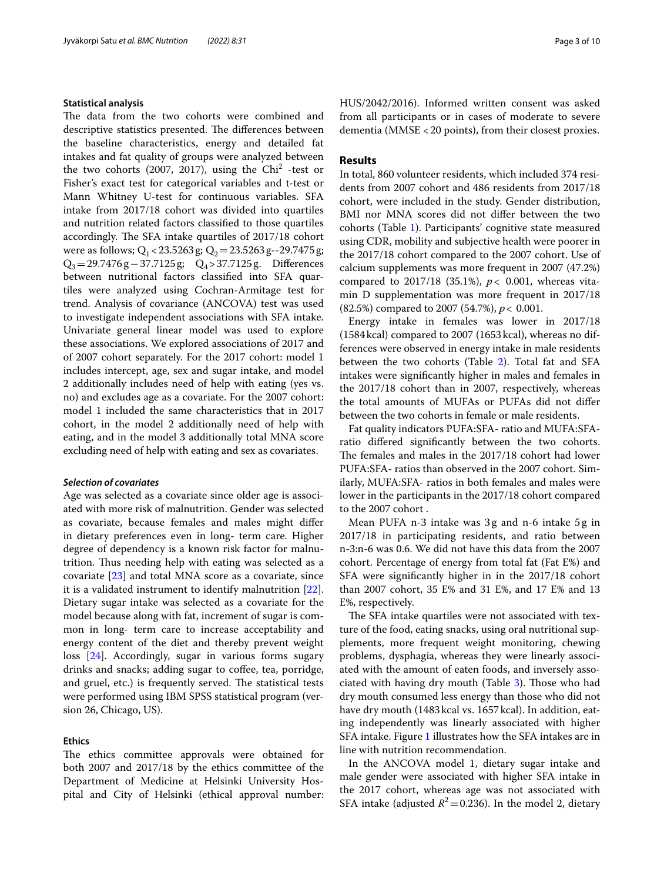## **Statistical analysis**

The data from the two cohorts were combined and descriptive statistics presented. The differences between the baseline characteristics, energy and detailed fat intakes and fat quality of groups were analyzed between the two cohorts (2007, 2017), using the  $Chi^2$  -test or Fisher's exact test for categorical variables and t-test or Mann Whitney U-test for continuous variables. SFA intake from 2017/18 cohort was divided into quartiles and nutrition related factors classifed to those quartiles accordingly. The SFA intake quartiles of 2017/18 cohort were as follows;  $Q_1 < 23.5263$  g;  $Q_2 = 23.5263$  g--29.7475 g; Q3=29.7476g−37.7125g; Q4>37.7125g. Diferences between nutritional factors classifed into SFA quartiles were analyzed using Cochran-Armitage test for trend. Analysis of covariance (ANCOVA) test was used to investigate independent associations with SFA intake. Univariate general linear model was used to explore these associations. We explored associations of 2017 and of 2007 cohort separately. For the 2017 cohort: model 1 includes intercept, age, sex and sugar intake, and model 2 additionally includes need of help with eating (yes vs. no) and excludes age as a covariate. For the 2007 cohort: model 1 included the same characteristics that in 2017 cohort, in the model 2 additionally need of help with eating, and in the model 3 additionally total MNA score excluding need of help with eating and sex as covariates.

## *Selection of covariates*

Age was selected as a covariate since older age is associated with more risk of malnutrition. Gender was selected as covariate, because females and males might difer in dietary preferences even in long- term care. Higher degree of dependency is a known risk factor for malnutrition. Thus needing help with eating was selected as a covariate [\[23](#page-8-16)] and total MNA score as a covariate, since it is a validated instrument to identify malnutrition [\[22](#page-8-15)]. Dietary sugar intake was selected as a covariate for the model because along with fat, increment of sugar is common in long- term care to increase acceptability and energy content of the diet and thereby prevent weight loss [[24\]](#page-8-17). Accordingly, sugar in various forms sugary drinks and snacks; adding sugar to coffee, tea, porridge, and gruel, etc.) is frequently served. The statistical tests were performed using IBM SPSS statistical program (version 26, Chicago, US).

## **Ethics**

The ethics committee approvals were obtained for both 2007 and 2017/18 by the ethics committee of the Department of Medicine at Helsinki University Hospital and City of Helsinki (ethical approval number: HUS/2042/2016). Informed written consent was asked from all participants or in cases of moderate to severe dementia (MMSE <20 points), from their closest proxies.

## **Results**

In total, 860 volunteer residents, which included 374 residents from 2007 cohort and 486 residents from 2017/18 cohort, were included in the study. Gender distribution, BMI nor MNA scores did not difer between the two cohorts (Table [1\)](#page-3-0). Participants' cognitive state measured using CDR, mobility and subjective health were poorer in the 2017/18 cohort compared to the 2007 cohort. Use of calcium supplements was more frequent in 2007 (47.2%) compared to 2017/18 (35.1%), *p*< 0.001, whereas vitamin D supplementation was more frequent in 2017/18 (82.5%) compared to 2007 (54.7%), *p*< 0.001.

Energy intake in females was lower in 2017/18 (1584kcal) compared to 2007 (1653 kcal), whereas no differences were observed in energy intake in male residents between the two cohorts (Table [2\)](#page-4-0). Total fat and SFA intakes were signifcantly higher in males and females in the 2017/18 cohort than in 2007, respectively, whereas the total amounts of MUFAs or PUFAs did not difer between the two cohorts in female or male residents.

Fat quality indicators PUFA:SFA- ratio and MUFA:SFAratio difered signifcantly between the two cohorts. The females and males in the 2017/18 cohort had lower PUFA:SFA- ratios than observed in the 2007 cohort. Similarly, MUFA:SFA- ratios in both females and males were lower in the participants in the 2017/18 cohort compared to the 2007 cohort .

Mean PUFA n-3 intake was 3g and n-6 intake 5g in 2017/18 in participating residents, and ratio between n-3:n-6 was 0.6. We did not have this data from the 2007 cohort. Percentage of energy from total fat (Fat E%) and SFA were signifcantly higher in in the 2017/18 cohort than 2007 cohort, 35 E% and 31 E%, and 17 E% and 13 E%, respectively.

The SFA intake quartiles were not associated with texture of the food, eating snacks, using oral nutritional supplements, more frequent weight monitoring, chewing problems, dysphagia, whereas they were linearly associated with the amount of eaten foods, and inversely asso-ciated with having dry mouth (Table [3](#page-5-0)). Those who had dry mouth consumed less energy than those who did not have dry mouth (1483 kcal vs. 1657 kcal). In addition, eating independently was linearly associated with higher SFA intake. Figure [1](#page-5-1) illustrates how the SFA intakes are in line with nutrition recommendation.

In the ANCOVA model 1, dietary sugar intake and male gender were associated with higher SFA intake in the 2017 cohort, whereas age was not associated with SFA intake (adjusted  $R^2$  = 0.236). In the model 2, dietary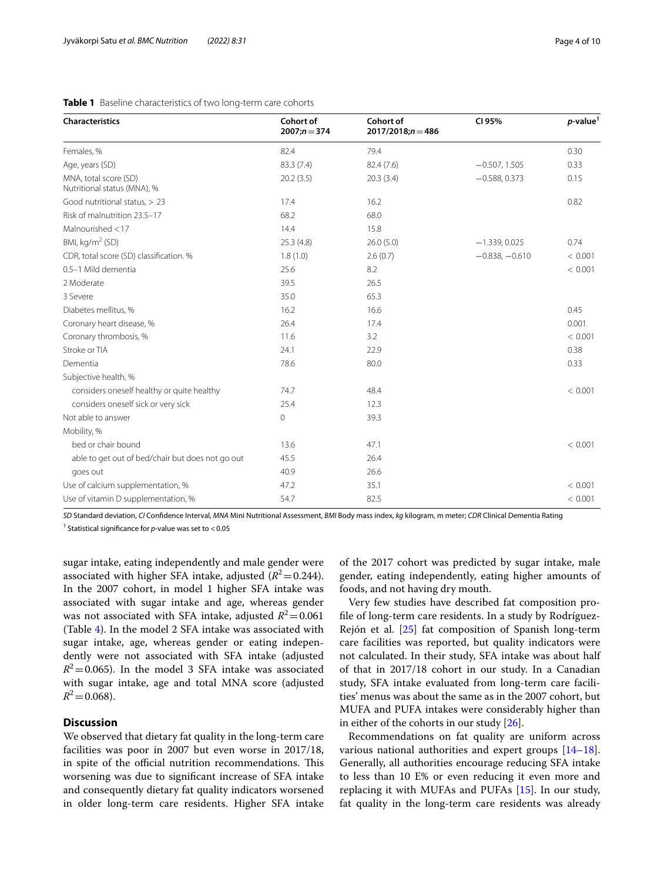## <span id="page-3-0"></span>**Table 1** Baseline characteristics of two long-term care cohorts

| Characteristics                                      | Cohort of<br>$2007; n = 374$ | Cohort of<br>$2017/2018; n = 486$ | CI 95%           | $p$ -value <sup>1</sup> |
|------------------------------------------------------|------------------------------|-----------------------------------|------------------|-------------------------|
| Females, %                                           | 82.4                         | 79.4                              |                  | 0.30                    |
| Age, years (SD)                                      | 83.3 (7.4)                   | 82.4 (7.6)                        | $-0.507, 1.505$  | 0.33                    |
| MNA, total score (SD)<br>Nutritional status (MNA), % | 20.2(3.5)                    | 20.3(3.4)                         | $-0.588, 0.373$  | 0.15                    |
| Good nutritional status, > 23                        | 17.4                         | 16.2                              |                  | 0.82                    |
| Risk of malnutrition 23.5-17                         | 68.2                         | 68.0                              |                  |                         |
| Malnourished <17                                     | 14.4                         | 15.8                              |                  |                         |
| BMI, $kg/m2$ (SD)                                    | 25.3(4.8)                    | 26.0(5.0)                         | $-1.339, 0.025$  | 0.74                    |
| CDR, total score (SD) classification. %              | 1.8(1.0)                     | 2.6(0.7)                          | $-0.838, -0.610$ | < 0.001                 |
| 0.5-1 Mild dementia                                  | 25.6                         | 8.2                               |                  | < 0.001                 |
| 2 Moderate                                           | 39.5                         | 26.5                              |                  |                         |
| 3 Severe                                             | 35.0                         | 65.3                              |                  |                         |
| Diabetes mellitus, %                                 | 16.2                         | 16.6                              |                  | 0.45                    |
| Coronary heart disease, %                            | 26.4                         | 17.4                              |                  | 0.001                   |
| Coronary thrombosis, %                               | 11.6                         | 3.2                               |                  | < 0.001                 |
| Stroke or TIA                                        | 24.1                         | 22.9                              |                  | 0.38                    |
| Dementia                                             | 78.6                         | 80.0                              |                  | 0.33                    |
| Subjective health, %                                 |                              |                                   |                  |                         |
| considers oneself healthy or quite healthy           | 74.7                         | 48.4                              |                  | < 0.001                 |
| considers oneself sick or very sick                  | 25.4                         | 12.3                              |                  |                         |
| Not able to answer                                   | $\mathbf 0$                  | 39.3                              |                  |                         |
| Mobility, %                                          |                              |                                   |                  |                         |
| bed or chair bound                                   | 13.6                         | 47.1                              |                  | < 0.001                 |
| able to get out of bed/chair but does not go out     | 45.5                         | 26.4                              |                  |                         |
| goes out                                             | 40.9                         | 26.6                              |                  |                         |
| Use of calcium supplementation, %                    | 47.2                         | 35.1                              |                  | < 0.001                 |
| Use of vitamin D supplementation, %                  | 54.7                         | 82.5                              |                  | < 0.001                 |

*SD* Standard deviation, *CI* Confdence Interval, *MNA* Mini Nutritional Assessment, *BMI* Body mass index, *kg* kilogram, m meter; *CDR* Clinical Dementia Rating

<sup>1</sup> Statistical significance for *p*-value was set to <0.05

sugar intake, eating independently and male gender were associated with higher SFA intake, adjusted  $(R^2=0.244)$ . In the 2007 cohort, in model 1 higher SFA intake was associated with sugar intake and age, whereas gender was not associated with SFA intake, adjusted  $R^2$  = 0.061 (Table [4\)](#page-6-0). In the model 2 SFA intake was associated with sugar intake, age, whereas gender or eating independently were not associated with SFA intake (adjusted  $R^2$ =0.065). In the model 3 SFA intake was associated with sugar intake, age and total MNA score (adjusted  $R^2$  = 0.068).

## **Discussion**

We observed that dietary fat quality in the long-term care facilities was poor in 2007 but even worse in 2017/18, in spite of the official nutrition recommendations. This worsening was due to signifcant increase of SFA intake and consequently dietary fat quality indicators worsened in older long-term care residents. Higher SFA intake of the 2017 cohort was predicted by sugar intake, male gender, eating independently, eating higher amounts of foods, and not having dry mouth.

Very few studies have described fat composition profle of long-term care residents. In a study by Rodríguez-Rejón et al. [\[25](#page-8-18)] fat composition of Spanish long-term care facilities was reported, but quality indicators were not calculated. In their study, SFA intake was about half of that in 2017/18 cohort in our study. In a Canadian study, SFA intake evaluated from long-term care facilities' menus was about the same as in the 2007 cohort, but MUFA and PUFA intakes were considerably higher than in either of the cohorts in our study [[26\]](#page-8-19).

Recommendations on fat quality are uniform across various national authorities and expert groups [[14](#page-8-10)[–18](#page-8-11)]. Generally, all authorities encourage reducing SFA intake to less than 10 E% or even reducing it even more and replacing it with MUFAs and PUFAs [\[15](#page-8-20)]. In our study, fat quality in the long-term care residents was already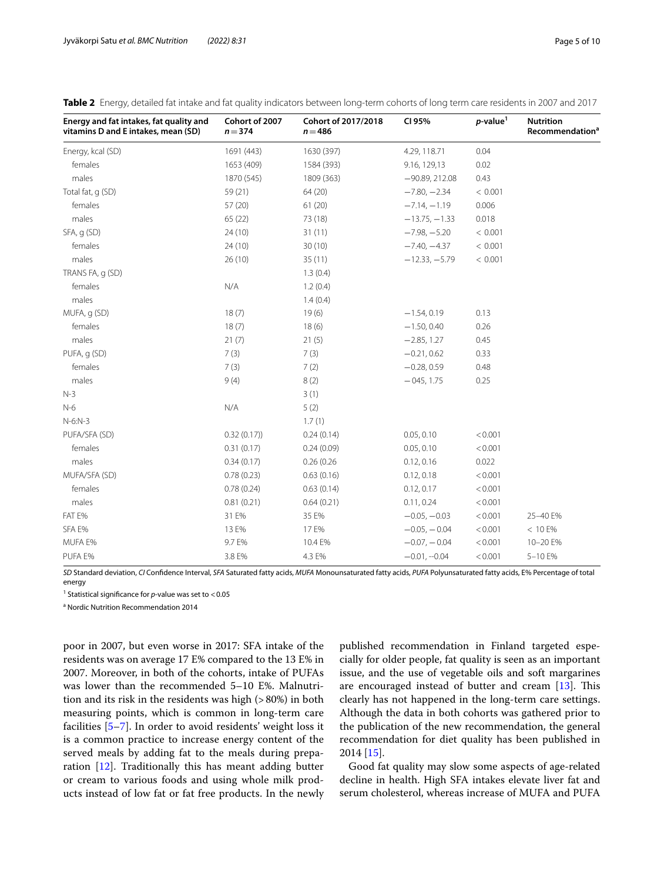<span id="page-4-0"></span>

|  |  |  |  |  | <b>Table 2</b> Energy, detailed fat intake and fat quality indicators between long-term cohorts of long term care residents in 2007 and 2017 |  |
|--|--|--|--|--|----------------------------------------------------------------------------------------------------------------------------------------------|--|
|  |  |  |  |  |                                                                                                                                              |  |

| Energy and fat intakes, fat quality and<br>vitamins D and E intakes, mean (SD) | Cohort of 2007<br>$n = 374$ | Cohort of 2017/2018<br>$n = 486$ | CI 95%           | $p$ -value <sup>1</sup> | <b>Nutrition</b><br>Recommendation <sup>a</sup> |
|--------------------------------------------------------------------------------|-----------------------------|----------------------------------|------------------|-------------------------|-------------------------------------------------|
| Energy, kcal (SD)                                                              | 1691 (443)                  | 1630 (397)                       | 4.29, 118.71     | 0.04                    |                                                 |
| females                                                                        | 1653 (409)                  | 1584 (393)                       | 9.16, 129,13     | 0.02                    |                                                 |
| males                                                                          | 1870 (545)                  | 1809 (363)                       | $-90.89, 212.08$ | 0.43                    |                                                 |
| Total fat, q (SD)                                                              | 59 (21)                     | 64 (20)                          | $-7.80, -2.34$   | < 0.001                 |                                                 |
| females                                                                        | 57 (20)                     | 61(20)                           | $-7.14, -1.19$   | 0.006                   |                                                 |
| males                                                                          | 65(22)                      | 73 (18)                          | $-13.75, -1.33$  | 0.018                   |                                                 |
| SFA, q (SD)                                                                    | 24(10)                      | 31(11)                           | $-7.98, -5.20$   | < 0.001                 |                                                 |
| females                                                                        | 24(10)                      | 30(10)                           | $-7.40, -4.37$   | < 0.001                 |                                                 |
| males                                                                          | 26(10)                      | 35(11)                           | $-12.33, -5.79$  | < 0.001                 |                                                 |
| TRANS FA, q (SD)                                                               |                             | 1.3(0.4)                         |                  |                         |                                                 |
| females                                                                        | N/A                         | 1.2(0.4)                         |                  |                         |                                                 |
| males                                                                          |                             | 1.4(0.4)                         |                  |                         |                                                 |
| MUFA, q (SD)                                                                   | 18(7)                       | 19(6)                            | $-1.54, 0.19$    | 0.13                    |                                                 |
| females                                                                        | 18(7)                       | 18(6)                            | $-1.50, 0.40$    | 0.26                    |                                                 |
| males                                                                          | 21(7)                       | 21(5)                            | $-2.85, 1.27$    | 0.45                    |                                                 |
| PUFA, q (SD)                                                                   | 7(3)                        | 7(3)                             | $-0.21, 0.62$    | 0.33                    |                                                 |
| females                                                                        | 7(3)                        | 7(2)                             | $-0.28, 0.59$    | 0.48                    |                                                 |
| males                                                                          | 9(4)                        | 8(2)                             | $-045, 1.75$     | 0.25                    |                                                 |
| $N-3$                                                                          |                             | 3(1)                             |                  |                         |                                                 |
| $N-6$                                                                          | N/A                         | 5(2)                             |                  |                         |                                                 |
| $N-6:N-3$                                                                      |                             | 1.7(1)                           |                  |                         |                                                 |
| PUFA/SFA (SD)                                                                  | 0.32(0.17)                  | 0.24(0.14)                       | 0.05, 0.10       | < 0.001                 |                                                 |
| females                                                                        | 0.31(0.17)                  | 0.24(0.09)                       | 0.05, 0.10       | < 0.001                 |                                                 |
| males                                                                          | 0.34(0.17)                  | 0.26(0.26)                       | 0.12, 0.16       | 0.022                   |                                                 |
| MUFA/SFA (SD)                                                                  | 0.78(0.23)                  | 0.63(0.16)                       | 0.12, 0.18       | < 0.001                 |                                                 |
| females                                                                        | 0.78(0.24)                  | 0.63(0.14)                       | 0.12, 0.17       | < 0.001                 |                                                 |
| males                                                                          | 0.81(0.21)                  | 0.64(0.21)                       | 0.11, 0.24       | < 0.001                 |                                                 |
| FAT E%                                                                         | 31 E%                       | 35 E%                            | $-0.05, -0.03$   | < 0.001                 | 25-40 E%                                        |
| SFA E%                                                                         | 13 E%                       | 17 E%                            | $-0.05, -0.04$   | < 0.001                 | < 10 E%                                         |
| MUFA E%                                                                        | 9.7 E%                      | 10.4 E%                          | $-0.07, -0.04$   | < 0.001                 | 10-20 E%                                        |
| PUFA E%                                                                        | 3.8 E%                      | 4.3 E%                           | $-0.01, -0.04$   | < 0.001                 | 5-10 E%                                         |

*SD* Standard deviation, *CI* Confdence Interval, *SFA* Saturated fatty acids, *MUFA* Monounsaturated fatty acids, *PUFA* Polyunsaturated fatty acids, E% Percentage of total energy

<sup>1</sup> Statistical significance for *p*-value was set to <0.05

<sup>a</sup> Nordic Nutrition Recommendation 2014

poor in 2007, but even worse in 2017: SFA intake of the residents was on average 17 E% compared to the 13 E% in 2007. Moreover, in both of the cohorts, intake of PUFAs was lower than the recommended 5–10 E%. Malnutrition and its risk in the residents was high (>80%) in both measuring points, which is common in long-term care facilities [[5–](#page-8-4)[7\]](#page-8-5). In order to avoid residents' weight loss it is a common practice to increase energy content of the served meals by adding fat to the meals during preparation [[12\]](#page-8-8). Traditionally this has meant adding butter or cream to various foods and using whole milk products instead of low fat or fat free products. In the newly published recommendation in Finland targeted especially for older people, fat quality is seen as an important issue, and the use of vegetable oils and soft margarines are encouraged instead of butter and cream  $[13]$  $[13]$  $[13]$ . This clearly has not happened in the long-term care settings. Although the data in both cohorts was gathered prior to the publication of the new recommendation, the general recommendation for diet quality has been published in 2014 [[15\]](#page-8-20).

Good fat quality may slow some aspects of age-related decline in health. High SFA intakes elevate liver fat and serum cholesterol, whereas increase of MUFA and PUFA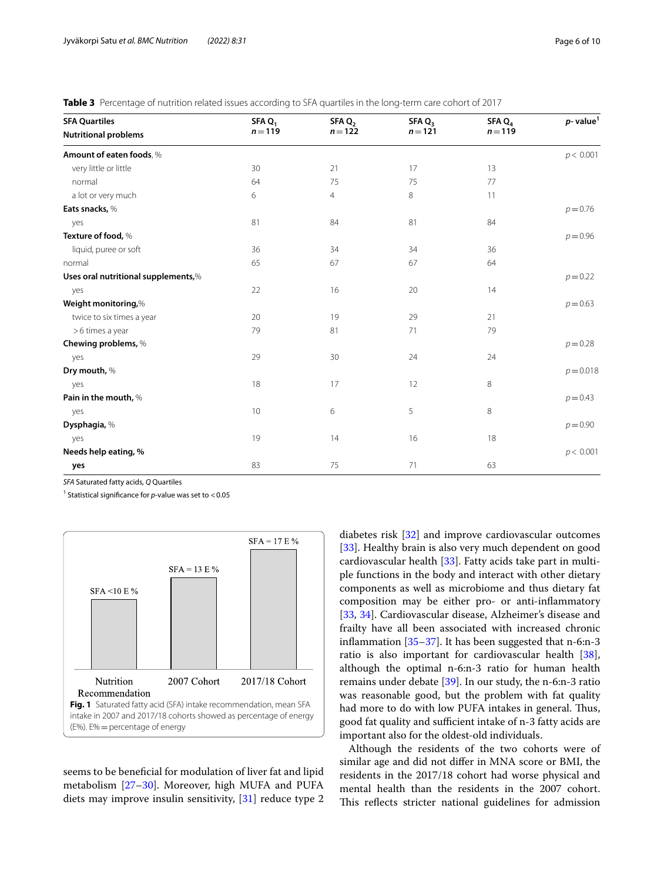<span id="page-5-0"></span>

|  | Table 3 Percentage of nutrition related issues according to SFA guartiles in the long-term care cohort of 2017 |  |  |  |  |  |
|--|----------------------------------------------------------------------------------------------------------------|--|--|--|--|--|
|--|----------------------------------------------------------------------------------------------------------------|--|--|--|--|--|

| <b>SFA Quartiles</b>                | SFA $Q_1$<br>$n = 119$ | SFA Q <sub>2</sub><br>$n = 122$ | SFA Q <sub>2</sub><br>$n = 121$ | SFA Q<br>$n = 119$ | $p$ - value <sup>1</sup> |
|-------------------------------------|------------------------|---------------------------------|---------------------------------|--------------------|--------------------------|
| <b>Nutritional problems</b>         |                        |                                 |                                 |                    |                          |
| Amount of eaten foods, %            |                        |                                 |                                 |                    | p < 0.001                |
| very little or little               | 30                     | 21                              | 17                              | 13                 |                          |
| normal                              | 64                     | 75                              | 75                              | 77                 |                          |
| a lot or very much                  | 6                      | $\overline{4}$                  | 8                               | 11                 |                          |
| Eats snacks, %                      |                        |                                 |                                 |                    | $p = 0.76$               |
| yes                                 | 81                     | 84                              | 81                              | 84                 |                          |
| Texture of food, %                  |                        |                                 |                                 |                    | $p = 0.96$               |
| liquid, puree or soft               | 36                     | 34                              | 34                              | 36                 |                          |
| normal                              | 65                     | 67                              | 67                              | 64                 |                          |
| Uses oral nutritional supplements,% |                        |                                 |                                 |                    | $p = 0.22$               |
| yes                                 | 22                     | 16                              | 20                              | 14                 |                          |
| Weight monitoring,%                 |                        |                                 |                                 |                    | $p = 0.63$               |
| twice to six times a year           | 20                     | 19                              | 29                              | 21                 |                          |
| >6 times a year                     | 79                     | 81                              | 71                              | 79                 |                          |
| Chewing problems, %                 |                        |                                 |                                 |                    | $p = 0.28$               |
| yes                                 | 29                     | 30                              | 24                              | 24                 |                          |
| Dry mouth, %                        |                        |                                 |                                 |                    | $p = 0.018$              |
| yes                                 | 18                     | 17                              | 12                              | 8                  |                          |
| Pain in the mouth, %                |                        |                                 |                                 |                    | $p = 0.43$               |
| yes                                 | 10 <sup>°</sup>        | 6                               | 5                               | 8                  |                          |
| Dysphagia, %                        |                        |                                 |                                 |                    | $p = 0.90$               |
| yes                                 | 19                     | 14                              | 16                              | 18                 |                          |
| Needs help eating, %                |                        |                                 |                                 |                    | p < 0.001                |
| yes                                 | 83                     | 75                              | 71                              | 63                 |                          |

*SFA* Saturated fatty acids, *Q* Quartiles

<sup>1</sup> Statistical significance for *p*-value was set to <0.05



<span id="page-5-1"></span>seems to be benefcial for modulation of liver fat and lipid metabolism [[27–](#page-9-0)[30\]](#page-9-1). Moreover, high MUFA and PUFA diets may improve insulin sensitivity, [\[31](#page-9-2)] reduce type 2

diabetes risk [[32](#page-9-3)] and improve cardiovascular outcomes [[33\]](#page-9-4). Healthy brain is also very much dependent on good cardiovascular health [\[33](#page-9-4)]. Fatty acids take part in multiple functions in the body and interact with other dietary components as well as microbiome and thus dietary fat composition may be either pro- or anti-infammatory [[33,](#page-9-4) [34\]](#page-9-5). Cardiovascular disease, Alzheimer's disease and frailty have all been associated with increased chronic infammation [[35–](#page-9-6)[37](#page-9-7)]. It has been suggested that n-6:n-3 ratio is also important for cardiovascular health [\[38](#page-9-8)], although the optimal n-6:n-3 ratio for human health remains under debate [\[39](#page-9-9)]. In our study, the n-6:n-3 ratio was reasonable good, but the problem with fat quality had more to do with low PUFA intakes in general. Thus, good fat quality and sufficient intake of n-3 fatty acids are important also for the oldest-old individuals.

Although the residents of the two cohorts were of similar age and did not difer in MNA score or BMI, the residents in the 2017/18 cohort had worse physical and mental health than the residents in the 2007 cohort. This reflects stricter national guidelines for admission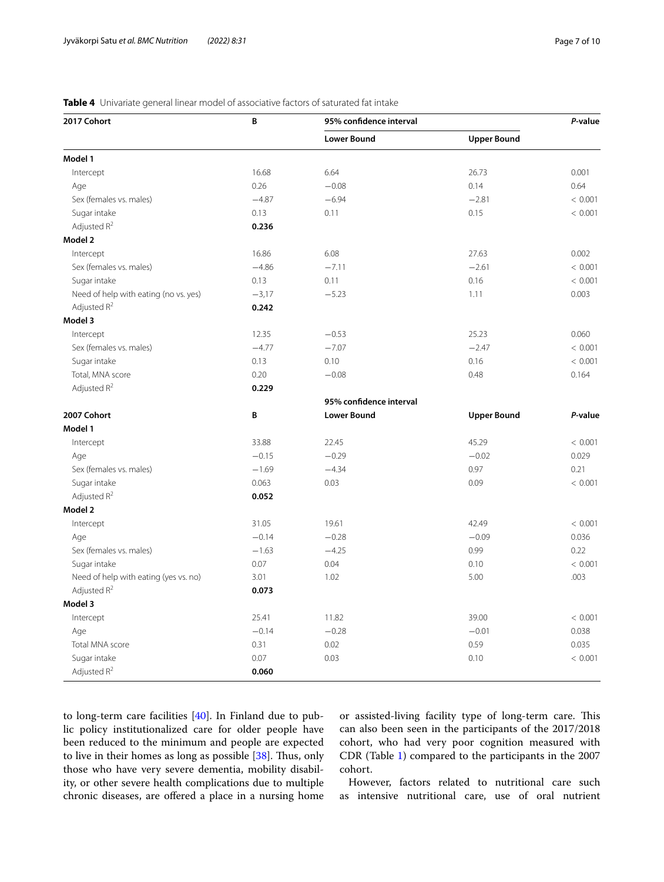| 2017 Cohort                           | B       | 95% confidence interval | P-value            |         |
|---------------------------------------|---------|-------------------------|--------------------|---------|
|                                       |         | <b>Lower Bound</b>      | <b>Upper Bound</b> |         |
| Model 1                               |         |                         |                    |         |
| Intercept                             | 16.68   | 6.64                    | 26.73              | 0.001   |
| Age                                   | 0.26    | $-0.08$                 | 0.14               | 0.64    |
| Sex (females vs. males)               | $-4.87$ | $-6.94$                 | $-2.81$            | < 0.001 |
| Sugar intake                          | 0.13    | 0.11                    | 0.15               | < 0.001 |
| Adjusted R <sup>2</sup>               | 0.236   |                         |                    |         |
| Model 2                               |         |                         |                    |         |
| Intercept                             | 16.86   | 6.08                    | 27.63              | 0.002   |
| Sex (females vs. males)               | $-4.86$ | $-7.11$                 | $-2.61$            | < 0.001 |
| Sugar intake                          | 0.13    | 0.11                    | 0.16               | < 0.001 |
| Need of help with eating (no vs. yes) | $-3,17$ | $-5.23$                 | 1.11               | 0.003   |
| Adjusted R <sup>2</sup>               | 0.242   |                         |                    |         |
| Model 3                               |         |                         |                    |         |
| Intercept                             | 12.35   | $-0.53$                 | 25.23              | 0.060   |
| Sex (females vs. males)               | $-4.77$ | $-7.07$                 | $-2.47$            | < 0.001 |
| Sugar intake                          | 0.13    | 0.10                    | 0.16               | < 0.001 |
| Total, MNA score                      | 0.20    | $-0.08$                 | 0.48               | 0.164   |
| Adjusted $R^2$                        | 0.229   |                         |                    |         |
|                                       |         | 95% confidence interval |                    |         |
| 2007 Cohort                           | B       | <b>Lower Bound</b>      | <b>Upper Bound</b> | P-value |
| Model 1                               |         |                         |                    |         |
| Intercept                             | 33.88   | 22.45                   | 45.29              | < 0.001 |
| Age                                   | $-0.15$ | $-0.29$                 | $-0.02$            | 0.029   |
| Sex (females vs. males)               | $-1.69$ | $-4.34$                 | 0.97               | 0.21    |
| Sugar intake                          | 0.063   | 0.03                    | 0.09               | < 0.001 |
| Adjusted R <sup>2</sup>               | 0.052   |                         |                    |         |
| Model 2                               |         |                         |                    |         |
| Intercept                             | 31.05   | 19.61                   | 42.49              | < 0.001 |
| Age                                   | $-0.14$ | $-0.28$                 | $-0.09$            | 0.036   |
| Sex (females vs. males)               | $-1.63$ | $-4.25$                 | 0.99               | 0.22    |
| Sugar intake                          | 0.07    | 0.04                    | 0.10               | < 0.001 |
| Need of help with eating (yes vs. no) | 3.01    | 1.02                    | 5.00               | .003    |
| Adjusted R <sup>2</sup>               | 0.073   |                         |                    |         |
| Model 3                               |         |                         |                    |         |
| Intercept                             | 25.41   | 11.82                   | 39.00              | < 0.001 |
| Age                                   | $-0.14$ | $-0.28$                 | $-0.01$            | 0.038   |
| Total MNA score                       | 0.31    | 0.02                    | 0.59               | 0.035   |
| Sugar intake                          | 0.07    | 0.03                    | 0.10               | < 0.001 |
| Adjusted R <sup>2</sup>               | 0.060   |                         |                    |         |

## <span id="page-6-0"></span>**Table 4** Univariate general linear model of associative factors of saturated fat intake

to long-term care facilities [[40\]](#page-9-10). In Finland due to public policy institutionalized care for older people have been reduced to the minimum and people are expected to live in their homes as long as possible [[38](#page-9-8)]. Thus, only those who have very severe dementia, mobility disability, or other severe health complications due to multiple chronic diseases, are offered a place in a nursing home or assisted-living facility type of long-term care. This can also been seen in the participants of the 2017/2018 cohort, who had very poor cognition measured with CDR (Table [1\)](#page-3-0) compared to the participants in the 2007 cohort.

However, factors related to nutritional care such as intensive nutritional care, use of oral nutrient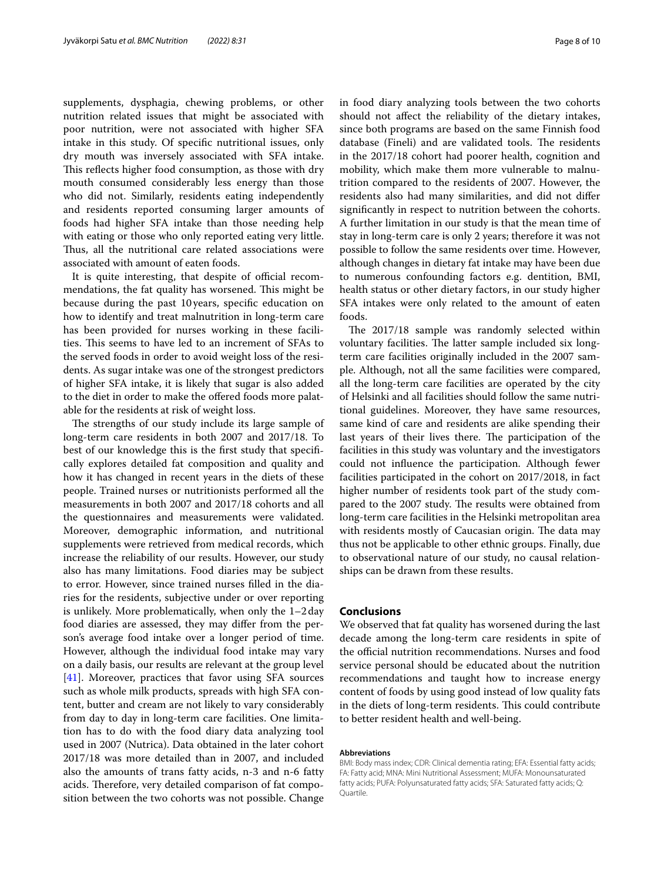supplements, dysphagia, chewing problems, or other nutrition related issues that might be associated with poor nutrition, were not associated with higher SFA intake in this study. Of specifc nutritional issues, only dry mouth was inversely associated with SFA intake. This reflects higher food consumption, as those with dry mouth consumed considerably less energy than those who did not. Similarly, residents eating independently and residents reported consuming larger amounts of foods had higher SFA intake than those needing help with eating or those who only reported eating very little. Thus, all the nutritional care related associations were associated with amount of eaten foods.

It is quite interesting, that despite of official recommendations, the fat quality has worsened. This might be because during the past 10years, specifc education on how to identify and treat malnutrition in long-term care has been provided for nurses working in these facilities. This seems to have led to an increment of SFAs to the served foods in order to avoid weight loss of the residents. As sugar intake was one of the strongest predictors of higher SFA intake, it is likely that sugar is also added to the diet in order to make the ofered foods more palatable for the residents at risk of weight loss.

The strengths of our study include its large sample of long-term care residents in both 2007 and 2017/18. To best of our knowledge this is the frst study that specifcally explores detailed fat composition and quality and how it has changed in recent years in the diets of these people. Trained nurses or nutritionists performed all the measurements in both 2007 and 2017/18 cohorts and all the questionnaires and measurements were validated. Moreover, demographic information, and nutritional supplements were retrieved from medical records, which increase the reliability of our results. However, our study also has many limitations. Food diaries may be subject to error. However, since trained nurses flled in the diaries for the residents, subjective under or over reporting is unlikely. More problematically, when only the 1–2day food diaries are assessed, they may difer from the person's average food intake over a longer period of time. However, although the individual food intake may vary on a daily basis, our results are relevant at the group level [[41\]](#page-9-11). Moreover, practices that favor using SFA sources such as whole milk products, spreads with high SFA content, butter and cream are not likely to vary considerably from day to day in long-term care facilities. One limitation has to do with the food diary data analyzing tool used in 2007 (Nutrica). Data obtained in the later cohort 2017/18 was more detailed than in 2007, and included also the amounts of trans fatty acids, n-3 and n-6 fatty acids. Therefore, very detailed comparison of fat composition between the two cohorts was not possible. Change in food diary analyzing tools between the two cohorts should not afect the reliability of the dietary intakes, since both programs are based on the same Finnish food database (Fineli) and are validated tools. The residents in the 2017/18 cohort had poorer health, cognition and mobility, which make them more vulnerable to malnutrition compared to the residents of 2007. However, the residents also had many similarities, and did not difer signifcantly in respect to nutrition between the cohorts. A further limitation in our study is that the mean time of stay in long-term care is only 2 years; therefore it was not possible to follow the same residents over time. However, although changes in dietary fat intake may have been due to numerous confounding factors e.g. dentition, BMI, health status or other dietary factors, in our study higher SFA intakes were only related to the amount of eaten foods.

The 2017/18 sample was randomly selected within voluntary facilities. The latter sample included six longterm care facilities originally included in the 2007 sample. Although, not all the same facilities were compared, all the long-term care facilities are operated by the city of Helsinki and all facilities should follow the same nutritional guidelines. Moreover, they have same resources, same kind of care and residents are alike spending their last years of their lives there. The participation of the facilities in this study was voluntary and the investigators could not infuence the participation. Although fewer facilities participated in the cohort on 2017/2018, in fact higher number of residents took part of the study compared to the 2007 study. The results were obtained from long-term care facilities in the Helsinki metropolitan area with residents mostly of Caucasian origin. The data may thus not be applicable to other ethnic groups. Finally, due to observational nature of our study, no causal relationships can be drawn from these results.

## **Conclusions**

We observed that fat quality has worsened during the last decade among the long-term care residents in spite of the official nutrition recommendations. Nurses and food service personal should be educated about the nutrition recommendations and taught how to increase energy content of foods by using good instead of low quality fats in the diets of long-term residents. This could contribute to better resident health and well-being.

#### **Abbreviations**

BMI: Body mass index; CDR: Clinical dementia rating; EFA: Essential fatty acids; FA: Fatty acid; MNA: Mini Nutritional Assessment; MUFA: Monounsaturated fatty acids; PUFA: Polyunsaturated fatty acids; SFA: Saturated fatty acids; Q: **Quartile**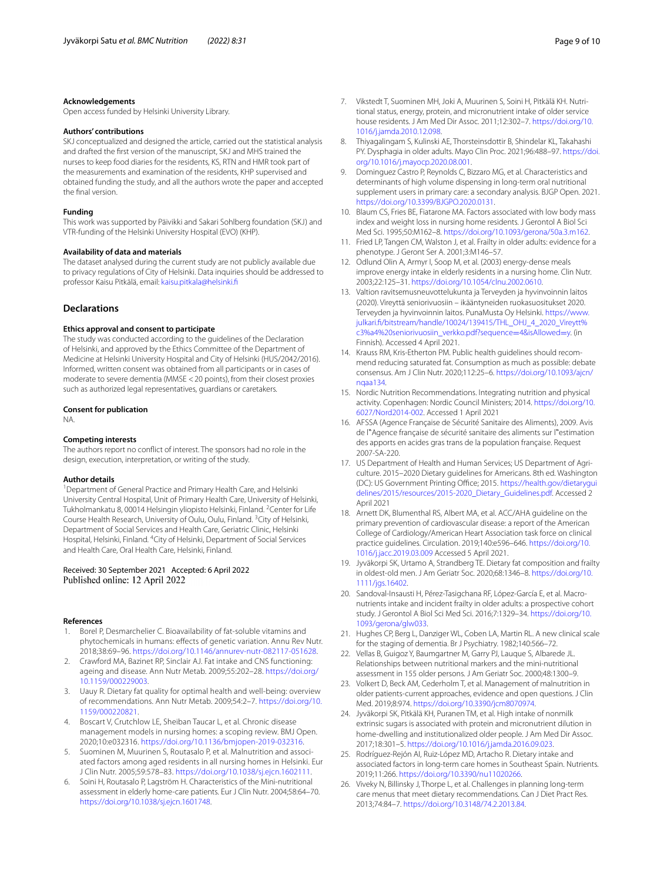#### **Acknowledgements**

Open access funded by Helsinki University Library.

#### **Authors' contributions**

SKJ conceptualized and designed the article, carried out the statistical analysis and drafted the frst version of the manuscript, SKJ and MHS trained the nurses to keep food diaries for the residents, KS, RTN and HMR took part of the measurements and examination of the residents, KHP supervised and obtained funding the study, and all the authors wrote the paper and accepted the fnal version.

#### **Funding**

This work was supported by Päivikki and Sakari Sohlberg foundation (SKJ) and VTR-funding of the Helsinki University Hospital (EVO) (KHP).

#### **Availability of data and materials**

The dataset analysed during the current study are not publicly available due to privacy regulations of City of Helsinki. Data inquiries should be addressed to professor Kaisu Pitkälä, email: [kaisu.pitkala@helsinki.f](kaisu.pitkala@helsinki.fi)

## **Declarations**

#### **Ethics approval and consent to participate**

The study was conducted according to the guidelines of the Declaration of Helsinki, and approved by the Ethics Committee of the Department of Medicine at Helsinki University Hospital and City of Helsinki (HUS/2042/2016). Informed, written consent was obtained from all participants or in cases of moderate to severe dementia (MMSE <20 points), from their closest proxies such as authorized legal representatives, guardians or caretakers.

#### **Consent for publication**

NA.

#### **Competing interests**

The authors report no confict of interest. The sponsors had no role in the design, execution, interpretation, or writing of the study.

#### **Author details**

<sup>1</sup> Department of General Practice and Primary Health Care, and Helsinki University Central Hospital, Unit of Primary Health Care, University of Helsinki, Tukholmankatu 8,00014 Helsingin yliopisto Helsinki, Finland. <sup>2</sup> Center for Life Course Health Research, University of Oulu, Oulu, Finland. <sup>3</sup> City of Helsinki, Department of Social Services and Health Care, Geriatric Clinic, Helsinki Hospital, Helsinki, Finland. <sup>4</sup> City of Helsinki, Department of Social Services and Health Care, Oral Health Care, Helsinki, Finland.

## Received: 30 September 2021 Accepted: 6 April 2022 Published online: 12 April 2022

#### **References**

- <span id="page-8-0"></span>Borel P, Desmarchelier C. Bioavailability of fat-soluble vitamins and phytochemicals in humans: efects of genetic variation. Annu Rev Nutr. 2018;38:69–96. [https://doi.org/10.1146/annurev-nutr-082117-051628.](https://doi.org/10.1146/annurev-nutr-082117-051628)
- <span id="page-8-1"></span>2. Crawford MA, Bazinet RP, Sinclair AJ. Fat intake and CNS functioning: ageing and disease. Ann Nutr Metab. 2009;55:202–28. [https://doi.org/](https://doi.org/10.1159/000229003) [10.1159/000229003](https://doi.org/10.1159/000229003).
- <span id="page-8-2"></span>3. Uauy R. Dietary fat quality for optimal health and well-being: overview of recommendations. Ann Nutr Metab. 2009;54:2–7. [https://doi.org/10.](https://doi.org/10.1159/000220821) [1159/000220821](https://doi.org/10.1159/000220821).
- <span id="page-8-3"></span>4. Boscart V, Crutchlow LE, Sheiban Taucar L, et al. Chronic disease management models in nursing homes: a scoping review. BMJ Open. 2020;10:e032316. [https://doi.org/10.1136/bmjopen-2019-032316.](https://doi.org/10.1136/bmjopen-2019-032316)
- <span id="page-8-4"></span>Suominen M, Muurinen S, Routasalo P, et al. Malnutrition and associated factors among aged residents in all nursing homes in Helsinki. Eur J Clin Nutr. 2005;59:578–83. [https://doi.org/10.1038/sj.ejcn.1602111.](https://doi.org/10.1038/sj.ejcn.1602111)
- 6. Soini H, Routasalo P, Lagström H. Characteristics of the Mini-nutritional assessment in elderly home-care patients. Eur J Clin Nutr. 2004;58:64–70. [https://doi.org/10.1038/sj.ejcn.1601748.](https://doi.org/10.1038/sj.ejcn.1601748)
- <span id="page-8-5"></span>7. Vikstedt T, Suominen MH, Joki A, Muurinen S, Soini H, Pitkälä KH. Nutritional status, energy, protein, and micronutrient intake of older service house residents. J Am Med Dir Assoc. 2011;12:302–7. [https://doi.org/10.](https://doi.org/10.1016/j.jamda.2010.12.098) [1016/j.jamda.2010.12.098](https://doi.org/10.1016/j.jamda.2010.12.098).
- <span id="page-8-6"></span>8. Thiyagalingam S, Kulinski AE, Thorsteinsdottir B, Shindelar KL, Takahashi PY. Dysphagia in older adults. Mayo Clin Proc. 2021;96:488–97. [https://doi.](https://doi.org/10.1016/j.mayocp.2020.08.001) [org/10.1016/j.mayocp.2020.08.001](https://doi.org/10.1016/j.mayocp.2020.08.001).
- 9. Dominguez Castro P, Reynolds C, Bizzaro MG, et al. Characteristics and determinants of high volume dispensing in long-term oral nutritional supplement users in primary care: a secondary analysis. BJGP Open. 2021. <https://doi.org/10.3399/BJGPO.2020.0131>.
- 10. Blaum CS, Fries BE, Fiatarone MA. Factors associated with low body mass index and weight loss in nursing home residents. J Gerontol A Biol Sci Med Sci. 1995;50:M162–8. [https://doi.org/10.1093/gerona/50a.3.m162.](https://doi.org/10.1093/gerona/50a.3.m162)
- <span id="page-8-7"></span>11. Fried LP, Tangen CM, Walston J, et al. Frailty in older adults: evidence for a phenotype. J Geront Ser A. 2001;3:M146–57.
- <span id="page-8-8"></span>12. Odlund Olin A, Armyr I, Soop M, et al. (2003) energy-dense meals improve energy intake in elderly residents in a nursing home. Clin Nutr. 2003;22:125–31. [https://doi.org/10.1054/clnu.2002.0610.](https://doi.org/10.1054/clnu.2002.0610)
- <span id="page-8-9"></span>13. Valtion ravitsemusneuvottelukunta ja Terveyden ja hyvinvoinnin laitos (2020). Vireyttä seniorivuosiin – ikääntyneiden ruokasuositukset 2020. Terveyden ja hyvinvoinnin laitos. PunaMusta Oy Helsinki. [https://www.](https://www.julkari.fi/bitstream/handle/10024/139415/THL_OHJ_4_2020_Vireytt%c3%a4%20seniorivuosiin_verkko.pdf?sequence=4&isAllowed=y) [julkari.f/bitstream/handle/10024/139415/THL\\_OHJ\\_4\\_2020\\_Vireytt%](https://www.julkari.fi/bitstream/handle/10024/139415/THL_OHJ_4_2020_Vireytt%c3%a4%20seniorivuosiin_verkko.pdf?sequence=4&isAllowed=y) [c3%a4%20seniorivuosiin\\_verkko.pdf?sequence](https://www.julkari.fi/bitstream/handle/10024/139415/THL_OHJ_4_2020_Vireytt%c3%a4%20seniorivuosiin_verkko.pdf?sequence=4&isAllowed=y)=4&isAllowed=y. (in Finnish). Accessed 4 April 2021.
- <span id="page-8-10"></span>14. Krauss RM, Kris-Etherton PM. Public health guidelines should recommend reducing saturated fat. Consumption as much as possible: debate consensus. Am J Clin Nutr. 2020;112:25–6. [https://doi.org/10.1093/ajcn/](https://doi.org/10.1093/ajcn/nqaa134) [nqaa134.](https://doi.org/10.1093/ajcn/nqaa134)
- <span id="page-8-20"></span>15. Nordic Nutrition Recommendations. Integrating nutrition and physical activity. Copenhagen: Nordic Council Ministers; 2014. [https://doi.org/10.](https://doi.org/10.6027/Nord2014-002) [6027/Nord2014-002.](https://doi.org/10.6027/Nord2014-002) Accessed 1 April 2021
- 16. AFSSA (Agence Française de Sécurité Sanitaire des Aliments), 2009. Avis de l"Agence française de sécurité sanitaire des aliments sur l"estimation des apports en acides gras trans de la population française. Request 2007-SA-220.
- 17. US Department of Health and Human Services; US Department of Agriculture. 2015–2020 Dietary guidelines for Americans. 8th ed. Washington (DC): US Government Printing Office; 2015. [https://health.gov/dietarygui](https://health.gov/dietaryguidelines/2015/resources/2015-2020_Dietary_Guidelines.pdf) [delines/2015/resources/2015-2020\\_Dietary\\_Guidelines.pdf](https://health.gov/dietaryguidelines/2015/resources/2015-2020_Dietary_Guidelines.pdf). Accessed 2 April 2021
- <span id="page-8-11"></span>18. Arnett DK, Blumenthal RS, Albert MA, et al. ACC/AHA guideline on the primary prevention of cardiovascular disease: a report of the American College of Cardiology/American Heart Association task force on clinical practice guidelines. Circulation. 2019;140:e596–646. [https://doi.org/10.](https://doi.org/10.1016/j.jacc.2019.03.009) [1016/j.jacc.2019.03.009](https://doi.org/10.1016/j.jacc.2019.03.009) Accessed 5 April 2021.
- <span id="page-8-12"></span>19. Jyväkorpi SK, Urtamo A, Strandberg TE. Dietary fat composition and frailty in oldest-old men. J Am Geriatr Soc. 2020;68:1346–8. [https://doi.org/10.](https://doi.org/10.1111/jgs.16402) [1111/jgs.16402](https://doi.org/10.1111/jgs.16402).
- <span id="page-8-13"></span>20. Sandoval-Insausti H, Pérez-Tasigchana RF, López-García E, et al. Macronutrients intake and incident frailty in older adults: a prospective cohort study. J Gerontol A Biol Sci Med Sci. 2016;7:1329–34. [https://doi.org/10.](https://doi.org/10.1093/gerona/glw033) [1093/gerona/glw033.](https://doi.org/10.1093/gerona/glw033)
- <span id="page-8-14"></span>21. Hughes CP, Berg L, Danziger WL, Coben LA, Martin RL. A new clinical scale for the staging of dementia. Br J Psychiatry. 1982;140:566–72.
- <span id="page-8-15"></span>22. Vellas B, Guigoz Y, Baumgartner M, Garry PJ, Lauque S, Albarede JL. Relationships between nutritional markers and the mini-nutritional assessment in 155 older persons. J Am Geriatr Soc. 2000;48:1300–9.
- <span id="page-8-16"></span>23. Volkert D, Beck AM, Cederholm T, et al. Management of malnutrition in older patients-current approaches, evidence and open questions. J Clin Med. 2019;8:974. [https://doi.org/10.3390/jcm8070974.](https://doi.org/10.3390/jcm8070974)
- <span id="page-8-17"></span>24. Jyväkorpi SK, Pitkälä KH, Puranen TM, et al. High intake of nonmilk extrinsic sugars is associated with protein and micronutrient dilution in home-dwelling and institutionalized older people. J Am Med Dir Assoc. 2017;18:301–5. [https://doi.org/10.1016/j.jamda.2016.09.023.](https://doi.org/10.1016/j.jamda.2016.09.023)
- <span id="page-8-18"></span>25. Rodríguez-Rejón AI, Ruiz-López MD, Artacho R. Dietary intake and associated factors in long-term care homes in Southeast Spain. Nutrients. 2019;11:266.<https://doi.org/10.3390/nu11020266>.
- <span id="page-8-19"></span>26. Viveky N, Billinsky J, Thorpe L, et al. Challenges in planning long-term care menus that meet dietary recommendations. Can J Diet Pract Res. 2013;74:84–7. [https://doi.org/10.3148/74.2.2013.84.](https://doi.org/10.3148/74.2.2013.84)